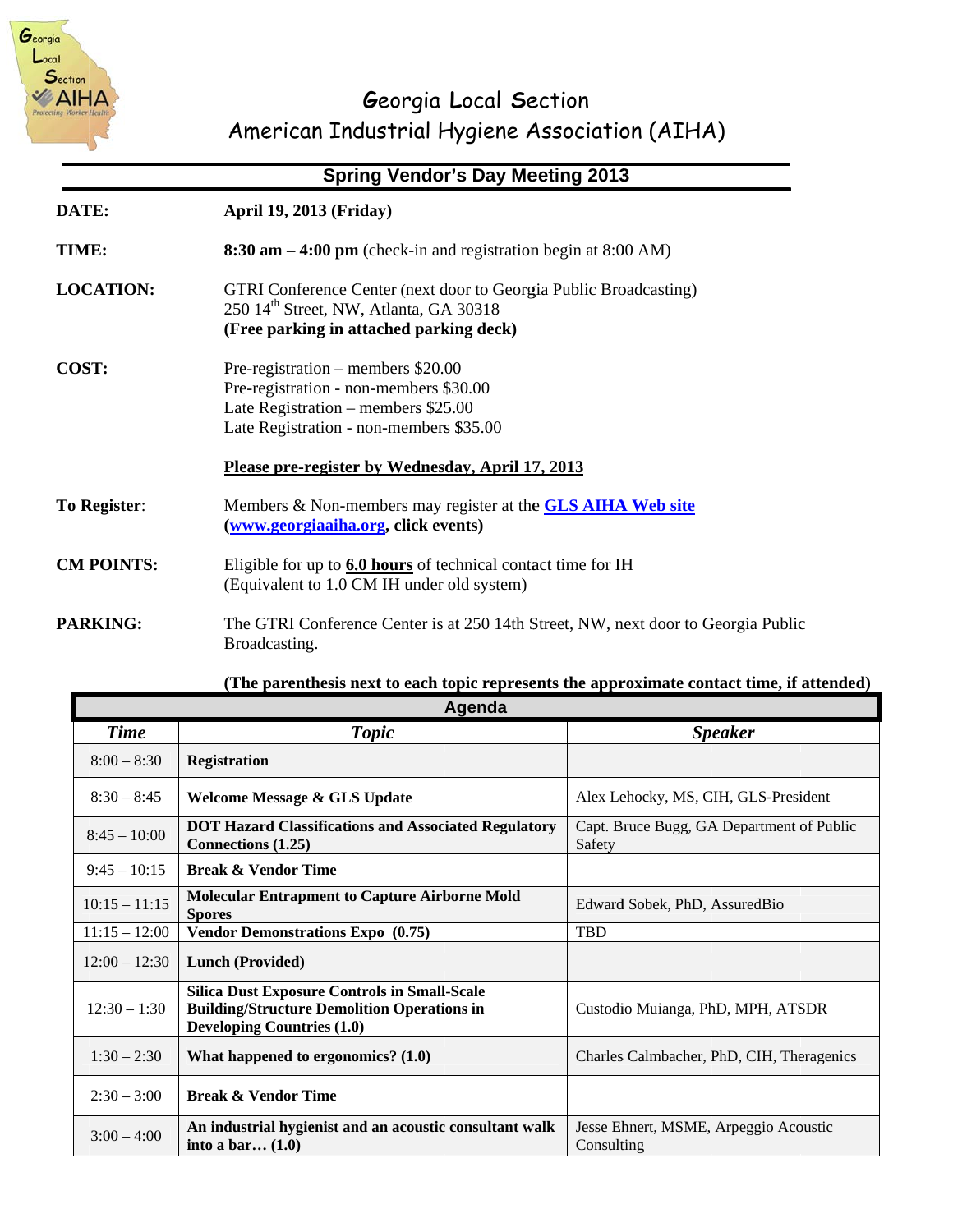

# Georgia Local Section American Industrial Hygiene Association (AIHA)

## **Spring Vendor's Day Meeting 2013**

| DATE:               | <b>April 19, 2013 (Friday)</b>                                                                                                                                     |  |
|---------------------|--------------------------------------------------------------------------------------------------------------------------------------------------------------------|--|
| TIME:               | $8:30$ am $-4:00$ pm (check-in and registration begin at 8:00 AM)                                                                                                  |  |
| <b>LOCATION:</b>    | GTRI Conference Center (next door to Georgia Public Broadcasting)<br>250 14 <sup>th</sup> Street, NW, Atlanta, GA 30318<br>(Free parking in attached parking deck) |  |
| COST:               | Pre-registration – members \$20.00<br>Pre-registration - non-members \$30.00<br>Late Registration – members $$25.00$<br>Late Registration - non-members \$35.00    |  |
|                     | Please pre-register by Wednesday, April 17, 2013                                                                                                                   |  |
| <b>To Register:</b> | Members & Non-members may register at the <b>GLS AIHA Web site</b><br>(www.georgiaaiha.org, click events)                                                          |  |
| <b>CM POINTS:</b>   | Eligible for up to $6.0$ hours of technical contact time for IH<br>(Equivalent to 1.0 CM IH under old system)                                                      |  |
| <b>PARKING:</b>     | The GTRI Conference Center is at 250 14th Street, NW, next door to Georgia Public<br>Broadcasting.                                                                 |  |

#### (The parenthesis next to each topic represents the approximate contact time, if attended)

| Agenda          |                                                                                                                                                |                                                     |  |
|-----------------|------------------------------------------------------------------------------------------------------------------------------------------------|-----------------------------------------------------|--|
| <b>Time</b>     | <b>Topic</b>                                                                                                                                   | <b>Speaker</b>                                      |  |
| $8:00 - 8:30$   | <b>Registration</b>                                                                                                                            |                                                     |  |
| $8:30 - 8:45$   | Welcome Message & GLS Update                                                                                                                   | Alex Lehocky, MS, CIH, GLS-President                |  |
| $8:45 - 10:00$  | <b>DOT Hazard Classifications and Associated Regulatory</b><br>Connections (1.25)                                                              | Capt. Bruce Bugg, GA Department of Public<br>Safety |  |
| $9:45 - 10:15$  | <b>Break &amp; Vendor Time</b>                                                                                                                 |                                                     |  |
| $10:15 - 11:15$ | <b>Molecular Entrapment to Capture Airborne Mold</b><br><b>Spores</b>                                                                          | Edward Sobek, PhD, AssuredBio                       |  |
| $11:15 - 12:00$ | <b>Vendor Demonstrations Expo</b> (0.75)                                                                                                       | <b>TBD</b>                                          |  |
| $12:00 - 12:30$ | Lunch (Provided)                                                                                                                               |                                                     |  |
| $12:30 - 1:30$  | <b>Silica Dust Exposure Controls in Small-Scale</b><br><b>Building/Structure Demolition Operations in</b><br><b>Developing Countries (1.0)</b> | Custodio Muianga, PhD, MPH, ATSDR                   |  |
| $1:30 - 2:30$   | What happened to ergonomics? $(1.0)$                                                                                                           | Charles Calmbacher, PhD, CIH, Theragenics           |  |
| $2:30 - 3:00$   | <b>Break &amp; Vendor Time</b>                                                                                                                 |                                                     |  |
| $3:00 - 4:00$   | An industrial hygienist and an acoustic consultant walk<br>into a bar $(1.0)$                                                                  | Jesse Ehnert, MSME, Arpeggio Acoustic<br>Consulting |  |